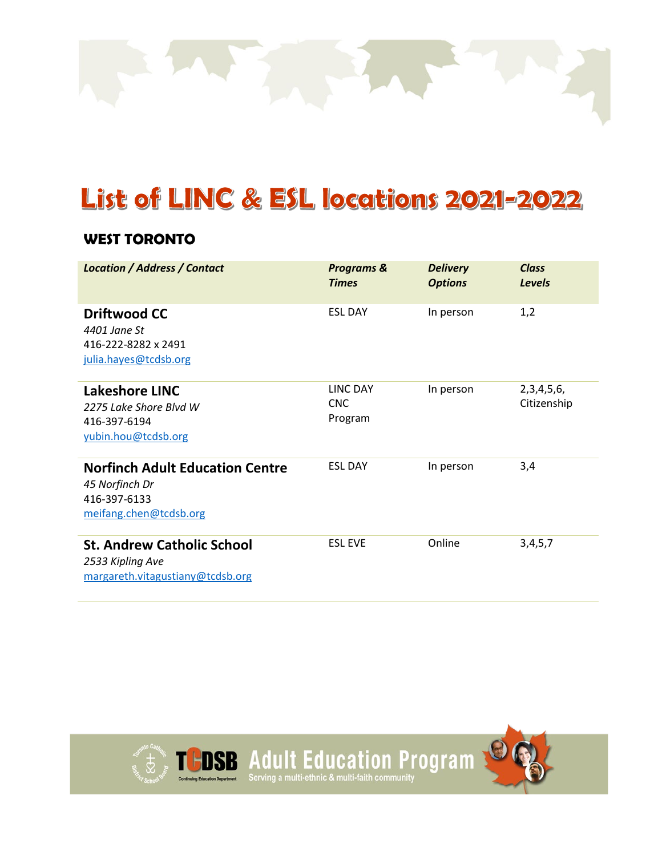

# List of LINC & ESL locations 2021-2022

#### **WEST TORONTO**

| <b>Location / Address / Contact</b>                                                                | <b>Programs &amp;</b><br><b>Times</b>    | <b>Delivery</b><br><b>Options</b> | <b>Class</b><br><b>Levels</b> |
|----------------------------------------------------------------------------------------------------|------------------------------------------|-----------------------------------|-------------------------------|
| <b>Driftwood CC</b><br>4401 Jane St<br>416-222-8282 x 2491<br>julia.hayes@tcdsb.org                | <b>ESL DAY</b>                           | In person                         | 1,2                           |
| Lakeshore LINC<br>2275 Lake Shore Blyd W<br>416-397-6194<br>yubin.hou@tcdsb.org                    | <b>LINC DAY</b><br><b>CNC</b><br>Program | In person                         | 2, 3, 4, 5, 6,<br>Citizenship |
| <b>Norfinch Adult Education Centre</b><br>45 Norfinch Dr<br>416-397-6133<br>meifang.chen@tcdsb.org | <b>ESL DAY</b>                           | In person                         | 3,4                           |
| <b>St. Andrew Catholic School</b><br>2533 Kipling Ave<br>margareth.vitagustiany@tcdsb.org          | <b>FSL EVE</b>                           | Online                            | 3,4,5,7                       |

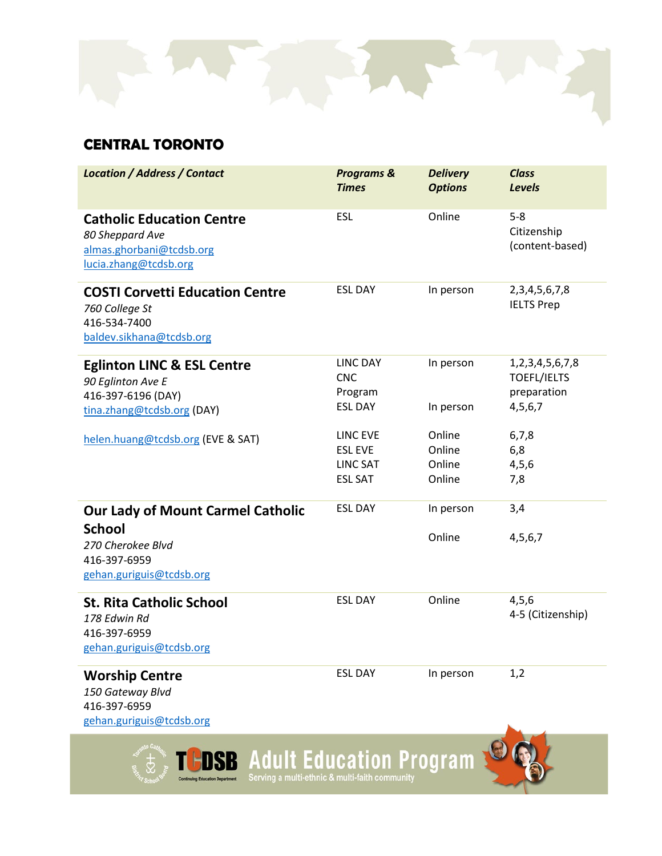

### **CENTRAL TORONTO**

| <b>Location / Address / Contact</b>                                                                                        | <b>Programs &amp;</b><br><b>Times</b>                           | <b>Delivery</b><br><b>Options</b>    | <b>Class</b><br><b>Levels</b>                                          |
|----------------------------------------------------------------------------------------------------------------------------|-----------------------------------------------------------------|--------------------------------------|------------------------------------------------------------------------|
| <b>Catholic Education Centre</b><br>80 Sheppard Ave<br>almas.ghorbani@tcdsb.org<br>lucia.zhang@tcdsb.org                   | <b>ESL</b>                                                      | Online                               | $5 - 8$<br>Citizenship<br>(content-based)                              |
| <b>COSTI Corvetti Education Centre</b><br>760 College St<br>416-534-7400<br>baldev.sikhana@tcdsb.org                       | <b>ESL DAY</b>                                                  | In person                            | 2, 3, 4, 5, 6, 7, 8<br><b>IELTS Prep</b>                               |
| <b>Eglinton LINC &amp; ESL Centre</b><br>90 Eglinton Ave E<br>416-397-6196 (DAY)<br>tina.zhang@tcdsb.org (DAY)             | <b>LINC DAY</b><br><b>CNC</b><br>Program<br><b>ESL DAY</b>      | In person<br>In person               | 1, 2, 3, 4, 5, 6, 7, 8<br><b>TOEFL/IELTS</b><br>preparation<br>4,5,6,7 |
| helen.huang@tcdsb.org (EVE & SAT)                                                                                          | LINC EVE<br><b>ESL EVE</b><br><b>LINC SAT</b><br><b>ESL SAT</b> | Online<br>Online<br>Online<br>Online | 6,7,8<br>6,8<br>4, 5, 6<br>7,8                                         |
| <b>Our Lady of Mount Carmel Catholic</b><br><b>School</b><br>270 Cherokee Blvd<br>416-397-6959<br>gehan.guriguis@tcdsb.org | <b>ESL DAY</b>                                                  | In person<br>Online                  | 3,4<br>4,5,6,7                                                         |
| <b>St. Rita Catholic School</b><br>178 Edwin Rd<br>416-397-6959<br>gehan.guriguis@tcdsb.org                                | <b>ESL DAY</b>                                                  | Online                               | 4,5,6<br>4-5 (Citizenship)                                             |
| <b>Worship Centre</b><br>150 Gateway Blvd<br>416-397-6959<br>gehan.guriguis@tcdsb.org                                      | <b>ESL DAY</b>                                                  | In person                            | 1,2                                                                    |
| <b>B</b> Adult Education Program                                                                                           |                                                                 |                                      |                                                                        |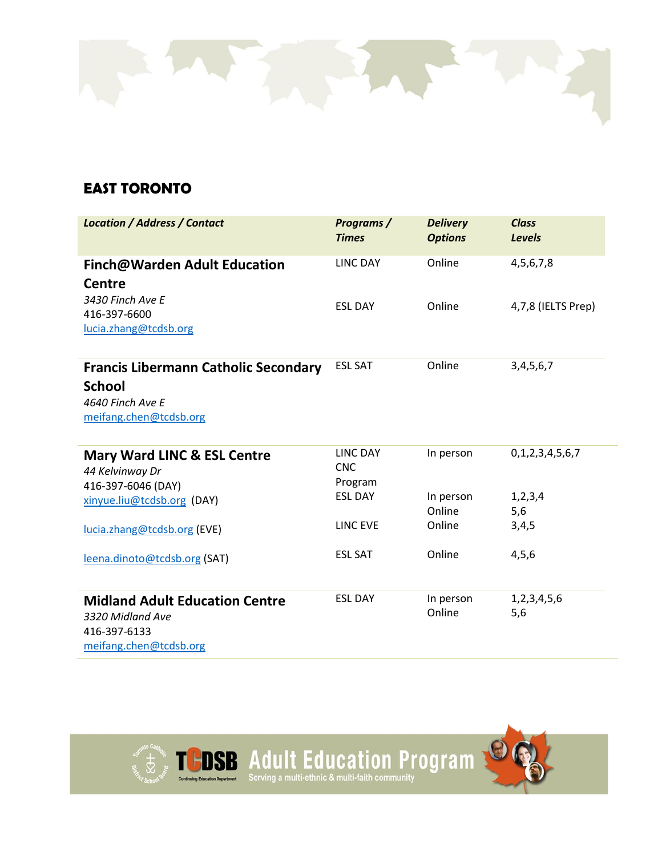

#### **EAST TORONTO**

| <b>Location / Address / Contact</b>                                                                        | Programs /<br><b>Times</b>        | <b>Delivery</b><br><b>Options</b> | <b>Class</b><br><b>Levels</b> |
|------------------------------------------------------------------------------------------------------------|-----------------------------------|-----------------------------------|-------------------------------|
| <b>Finch@Warden Adult Education</b><br><b>Centre</b>                                                       | <b>LINC DAY</b>                   | Online                            | 4, 5, 6, 7, 8                 |
| 3430 Finch Ave E<br>416-397-6600<br>lucia.zhang@tcdsb.org                                                  | <b>ESL DAY</b>                    | Online                            | 4,7,8 (IELTS Prep)            |
| <b>Francis Libermann Catholic Secondary</b><br><b>School</b><br>4640 Finch Ave E<br>meifang.chen@tcdsb.org | <b>ESL SAT</b>                    | Online                            | 3, 4, 5, 6, 7                 |
| <b>Mary Ward LINC &amp; ESL Centre</b><br>44 Kelvinway Dr<br>416-397-6046 (DAY)                            | LINC DAY<br><b>CNC</b><br>Program | In person                         | 0,1,2,3,4,5,6,7               |
| xinyue.liu@tcdsb.org (DAY)                                                                                 | <b>ESL DAY</b>                    | In person<br>Online               | 1, 2, 3, 4<br>5,6             |
| lucia.zhang@tcdsb.org (EVE)                                                                                | <b>LINC EVE</b>                   | Online                            | 3,4,5                         |
| leena.dinoto@tcdsb.org (SAT)                                                                               | <b>ESL SAT</b>                    | Online                            | 4,5,6                         |
| <b>Midland Adult Education Centre</b><br>3320 Midland Ave<br>416-397-6133<br>meifang.chen@tcdsb.org        | <b>ESL DAY</b>                    | In person<br>Online               | 1,2,3,4,5,6<br>5,6            |

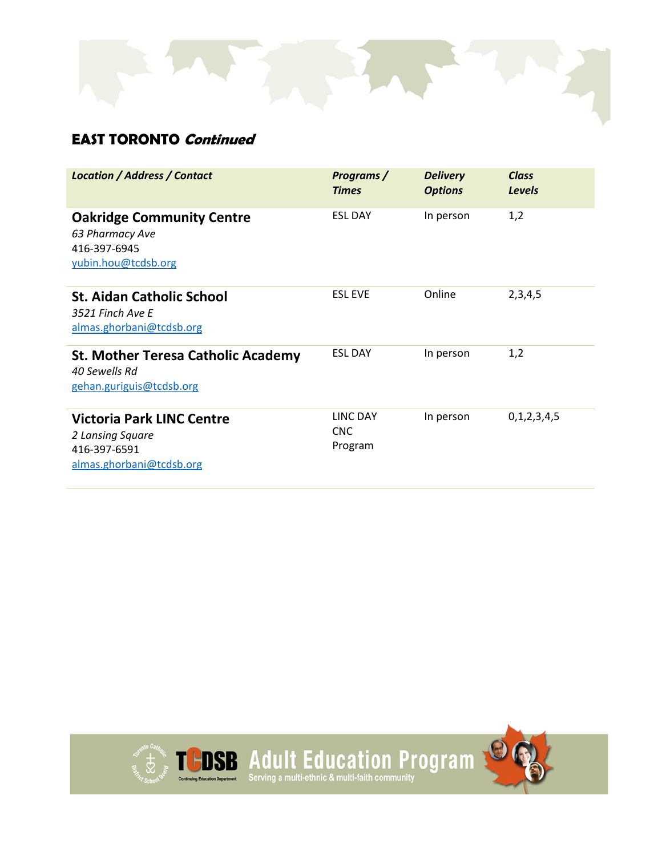#### **EAST TORONTO Continued**

| <b>Location / Address / Contact</b>                                                              | Programs /<br><b>Times</b>        | <b>Delivery</b><br><b>Options</b> | Class<br><b>Levels</b> |
|--------------------------------------------------------------------------------------------------|-----------------------------------|-----------------------------------|------------------------|
| <b>Oakridge Community Centre</b><br>63 Pharmacy Ave<br>416-397-6945<br>yubin.hou@tcdsb.org       | <b>ESL DAY</b>                    | In person                         | 1,2                    |
| <b>St. Aidan Catholic School</b><br>3521 Finch Ave E<br>almas.ghorbani@tcdsb.org                 | <b>ESL EVE</b>                    | Online                            | 2,3,4,5                |
| <b>St. Mother Teresa Catholic Academy</b><br>40 Sewells Rd<br>gehan.guriguis@tcdsb.org           | <b>ESL DAY</b>                    | In person                         | 1,2                    |
| <b>Victoria Park LINC Centre</b><br>2 Lansing Square<br>416-397-6591<br>almas.ghorbani@tcdsb.org | <b>LINC DAY</b><br>CNC<br>Program | In person                         | 0,1,2,3,4,5            |